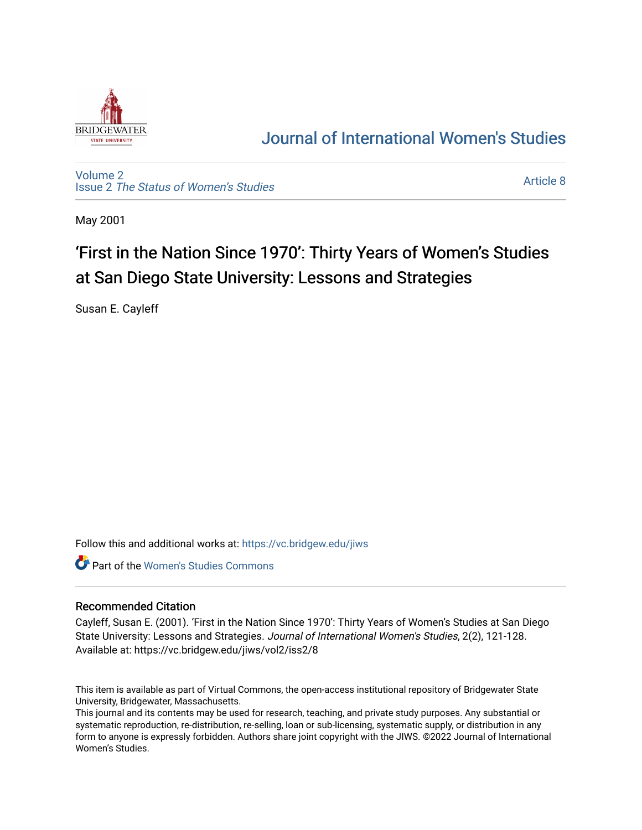

# [Journal of International Women's Studies](https://vc.bridgew.edu/jiws)

[Volume 2](https://vc.bridgew.edu/jiws/vol2) Issue 2 [The Status of Women's Studies](https://vc.bridgew.edu/jiws/vol2/iss2) 

[Article 8](https://vc.bridgew.edu/jiws/vol2/iss2/8) 

May 2001

# 'First in the Nation Since 1970': Thirty Years of Women's Studies at San Diego State University: Lessons and Strategies

Susan E. Cayleff

Follow this and additional works at: [https://vc.bridgew.edu/jiws](https://vc.bridgew.edu/jiws?utm_source=vc.bridgew.edu%2Fjiws%2Fvol2%2Fiss2%2F8&utm_medium=PDF&utm_campaign=PDFCoverPages)

Part of the [Women's Studies Commons](http://network.bepress.com/hgg/discipline/561?utm_source=vc.bridgew.edu%2Fjiws%2Fvol2%2Fiss2%2F8&utm_medium=PDF&utm_campaign=PDFCoverPages) 

#### Recommended Citation

Cayleff, Susan E. (2001). 'First in the Nation Since 1970': Thirty Years of Women's Studies at San Diego State University: Lessons and Strategies. Journal of International Women's Studies, 2(2), 121-128. Available at: https://vc.bridgew.edu/jiws/vol2/iss2/8

This item is available as part of Virtual Commons, the open-access institutional repository of Bridgewater State University, Bridgewater, Massachusetts.

This journal and its contents may be used for research, teaching, and private study purposes. Any substantial or systematic reproduction, re-distribution, re-selling, loan or sub-licensing, systematic supply, or distribution in any form to anyone is expressly forbidden. Authors share joint copyright with the JIWS. ©2022 Journal of International Women's Studies.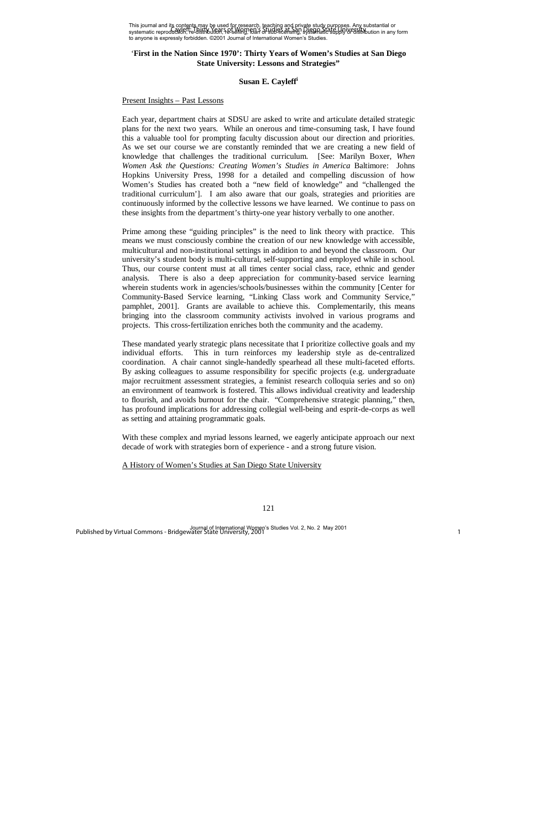This journal and its contents may be used for research, teaching and private study purposes. Any substantial or This journal and he content in this years of Wessellow, Baching and Binying study being the procedure and its<br>systematic reproduction, re-distribution, re-selling, idah of studies at sing, systematic supply of distribution to anyone is expressly forbidden. ©2001 Journal of International Women's Studies.

# '**First in the Nation Since 1970': Thirty Years of Women's Studies at San Diego State University: Lessons and Strategies"**

# **Susan E. Cayleff<sup>i</sup>**

#### Present Insights – Past Lessons

Each year, department chairs at SDSU are asked to write and articulate detailed strategic plans for the next two years. While an onerous and time-consuming task, I have found this a valuable tool for prompting faculty discussion about our direction and priorities. As we set our course we are constantly reminded that we are creating a new field of knowledge that challenges the traditional curriculum. [See: Marilyn Boxer, *When Women Ask the Questions: Creating Women's Studies in America* Baltimore: Johns Hopkins University Press, 1998 for a detailed and compelling discussion of how Women's Studies has created both a "new field of knowledge" and "challenged the traditional curriculum']. I am also aware that our goals, strategies and priorities are continuously informed by the collective lessons we have learned. We continue to pass on these insights from the department's thirty-one year history verbally to one another.

Prime among these "guiding principles" is the need to link theory with practice. This means we must consciously combine the creation of our new knowledge with accessible, multicultural and non-institutional settings in addition to and beyond the classroom. Our university's student body is multi-cultural, self-supporting and employed while in school. Thus, our course content must at all times center social class, race, ethnic and gender analysis. There is also a deep appreciation for community-based service learning wherein students work in agencies/schools/businesses within the community [Center for Community-Based Service learning, "Linking Class work and Community Service," pamphlet, 2001]. Grants are available to achieve this. Complementarily, this means bringing into the classroom community activists involved in various programs and projects. This cross-fertilization enriches both the community and the academy.

These mandated yearly strategic plans necessitate that I prioritize collective goals and my individual efforts. This in turn reinforces my leadership style as de-centralized coordination. A chair cannot single-handedly spearhead all these multi-faceted efforts. By asking colleagues to assume responsibility for specific projects (e.g. undergraduate major recruitment assessment strategies, a feminist research colloquia series and so on) an environment of teamwork is fostered. This allows individual creativity and leadership to flourish, and avoids burnout for the chair. "Comprehensive strategic planning," then, has profound implications for addressing collegial well-being and esprit-de-corps as well as setting and attaining programmatic goals.

With these complex and myriad lessons learned, we eagerly anticipate approach our next decade of work with strategies born of experience - and a strong future vision.

A History of Women's Studies at San Diego State University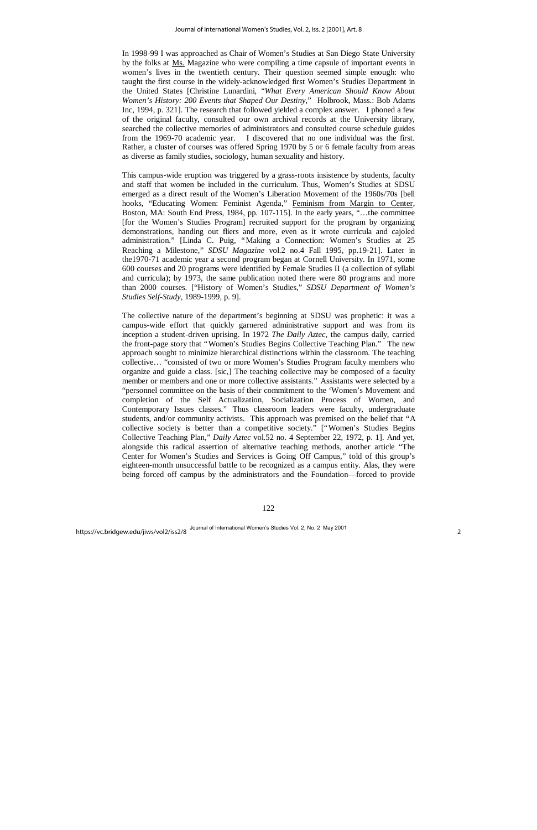In 1998-99 I was approached as Chair of Women's Studies at San Diego State University by the folks at Ms. Magazine who were compiling a time capsule of important events in women's lives in the twentieth century. Their question seemed simple enough: who taught the first course in the widely-acknowledged first Women's Studies Department in the United States [Christine Lunardini, "*What Every American Should Know About Women's History: 200 Events that Shaped Our Destiny*," Holbrook, Mass.: Bob Adams Inc, 1994, p. 321]. The research that followed yielded a complex answer. I phoned a few of the original faculty, consulted our own archival records at the University library, searched the collective memories of administrators and consulted course schedule guides from the 1969-70 academic year. I discovered that no one individual was the first. Rather, a cluster of courses was offered Spring 1970 by 5 or 6 female faculty from areas as diverse as family studies, sociology, human sexuality and history.

This campus-wide eruption was triggered by a grass-roots insistence by students, faculty and staff that women be included in the curriculum. Thus, Women's Studies at SDSU emerged as a direct result of the Women's Liberation Movement of the 1960s/70s [bell hooks, "Educating Women: Feminist Agenda," Feminism from Margin to Center, Boston, MA: South End Press, 1984, pp. 107-115]. In the early years, "… the committee [for the Women's Studies Program] recruited support for the program by organizing demonstrations, handing out fliers and more, even as it wrote curricula and cajoled administration." [Linda C. Puig, "Making a Connection: Women's Studies at 25 Reaching a Milestone," *SDSU Magazine* vol.2 no.4 Fall 1995, pp.19-21]. Later in the1970-71 academic year a second program began at Cornell University. In 1971, some 600 courses and 20 programs were identified by Female Studies II (a collection of syllabi and curricula); by 1973, the same publication noted there were 80 programs and more than 2000 courses. ["History of Women's Studies," *SDSU Department of Women's Studies Self-Study*, 1989-1999, p. 9].

The collective nature of the department's beginning at SDSU was prophetic: it was a campus-wide effort that quickly garnered administrative support and was from its inception a student-driven uprising. In 1972 *The Daily Aztec*, the campus daily, carried the front-page story that "Women's Studies Begins Collective Teaching Plan." The new approach sought to minimize hierarchical distinctions within the classroom. The teaching collective… "consisted of two or more Women's Studies Program faculty members who organize and guide a class. [sic,] The teaching collective may be composed of a faculty member or members and one or more collective assistants." Assistants were selected by a "personnel committee on the basis of their commitment to the 'Women's Movement and completion of the Self Actualization, Socialization Process of Women, and Contemporary Issues classes." Thus classroom leaders were faculty, undergraduate students, and/or community activists. This approach was premised on the belief that "A collective society is better than a competitive society." ["Women's Studies Begins Collective Teaching Plan," *Daily Aztec* vol.52 no. 4 September 22, 1972, p. 1]. And yet, alongside this radical assertion of alternative teaching methods, another article "The Center for Women's Studies and Services is Going Off Campus," told of this group's eighteen-month unsuccessful battle to be recognized as a campus entity. Alas, they were being forced off campus by the administrators and the Foundation— forced to provide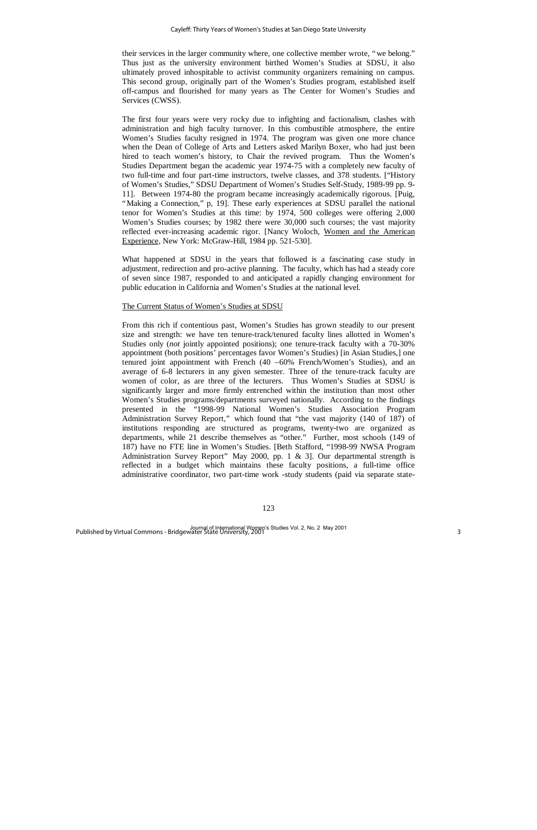their services in the larger community where, one collective member wrote, "we belong." Thus just as the university environment birthed Women's Studies at SDSU, it also ultimately proved inhospitable to activist community organizers remaining on campus. This second group, originally part of the Women's Studies program, established itself off-campus and flourished for many years as The Center for Women's Studies and Services (CWSS).

The first four years were very rocky due to infighting and factionalism, clashes with administration and high faculty turnover. In this combustible atmosphere, the entire Women's Studies faculty resigned in 1974. The program was given one more chance when the Dean of College of Arts and Letters asked Marilyn Boxer, who had just been hired to teach women's history, to Chair the revived program. Thus the Women's Studies Department began the academic year 1974-75 with a completely new faculty of two full-time and four part-time instructors, twelve classes, and 378 students. ["History of Women's Studies," SDSU Department of Women's Studies Self-Study, 1989-99 pp. 9- 11]. Between 1974-80 the program became increasingly academically rigorous. [Puig, "Making a Connection," p, 19]. These early experiences at SDSU parallel the national tenor for Women's Studies at this time: by 1974, 500 colleges were offering 2,000 Women's Studies courses; by 1982 there were 30,000 such courses; the vast majority reflected ever-increasing academic rigor. [Nancy Woloch, Women and the American Experience, New York: McGraw-Hill, 1984 pp. 521-530].

What happened at SDSU in the years that followed is a fascinating case study in adjustment, redirection and pro-active planning. The faculty, which has had a steady core of seven since 1987, responded to and anticipated a rapidly changing environment for public education in California and Women's Studies at the national level.

# The Current Status of Women's Studies at SDSU

From this rich if contentious past, Women's Studies has grown steadily to our present size and strength: we have ten tenure-track/tenured faculty lines allotted in Women's Studies only *(not jointly appointed positions)*; one tenure-track faculty with a 70-30% appointment (both positions' percentages favor Women's Studies) [in Asian Studies,] one tenured joint appointment with French (40 –60% French/Women's Studies), and an average of 6-8 lecturers in any given semester. Three of the tenure-track faculty are women of color, as are three of the lecturers. Thus Women's Studies at SDSU is significantly larger and more firmly entrenched within the institution than most other Women's Studies programs/departments surveyed nationally. According to the findings presented in the "1998-99 National Women's Studies Association Program Administration Survey Report," which found that "the vast majority (140 of 187) of institutions responding are structured as programs, twenty-two are organized as departments, while 21 describe themselves as "other." Further, most schools (149 of 187) have no FTE line in Women's Studies. [Beth Stafford, "1998-99 NWSA Program Administration Survey Report" May 2000, pp. 1 & 3]. Our departmental strength is reflected in a budget which maintains these faculty positions, a full-time office administrative coordinator, two part-time work -study students (paid via separate state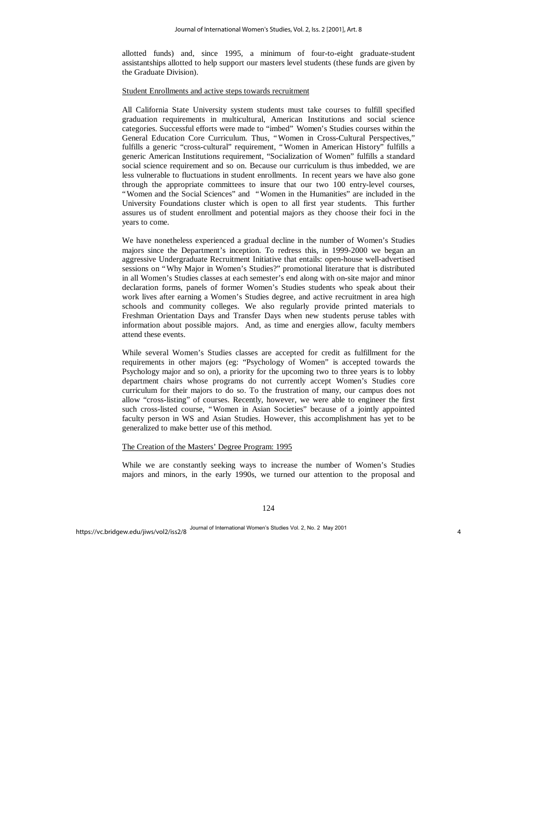allotted funds) and, since 1995, a minimum of four-to-eight graduate-student assistantships allotted to help support our masters level students (these funds are given by the Graduate Division).

#### Student Enrollments and active steps towards recruitment

All California State University system students must take courses to fulfill specified graduation requirements in multicultural, American Institutions and social science categories. Successful efforts were made to "imbed" Women's Studies courses within the General Education Core Curriculum. Thus, "Women in Cross-Cultural Perspectives," fulfills a generic "cross-cultural" requirement, "Women in American History" fulfills a generic American Institutions requirement, "Socialization of Women" fulfills a standard social science requirement and so on. Because our curriculum is thus imbedded, we are less vulnerable to fluctuations in student enrollments. In recent years we have also gone through the appropriate committees to insure that our two 100 entry-level courses, "Women and the Social Sciences" and "Women in the Humanities" are included in the University Foundations cluster which is open to all first year students. This further assures us of student enrollment and potential majors as they choose their foci in the years to come.

We have nonetheless experienced a gradual decline in the number of Women's Studies majors since the Department's inception. To redress this, in 1999-2000 we began an aggressive Undergraduate Recruitment Initiative that entails: open-house well-advertised sessions on "Why Major in Women's Studies?" promotional literature that is distributed in all Women's Studies classes at each semester's end along with on-site major and minor declaration forms, panels of former Women's Studies students who speak about their work lives after earning a Women's Studies degree, and active recruitment in area high schools and community colleges. We also regularly provide printed materials to Freshman Orientation Days and Transfer Days when new students peruse tables with information about possible majors. And, as time and energies allow, faculty members attend these events.

While several Women's Studies classes are accepted for credit as fulfillment for the requirements in other majors (eg: "Psychology of Women" is accepted towards the Psychology major and so on), a priority for the upcoming two to three years is to lobby department chairs whose programs do not currently accept Women's Studies core curriculum for their majors to do so. To the frustration of many, our campus does not allow "cross-listing" of courses. Recently, however, we were able to engineer the first such cross-listed course, "Women in Asian Societies" because of a jointly appointed faculty person in WS and Asian Studies. However, this accomplishment has yet to be generalized to make better use of this method.

# The Creation of the Masters' Degree Program: 1995

While we are constantly seeking ways to increase the number of Women's Studies majors and minors, in the early 1990s, we turned our attention to the proposal and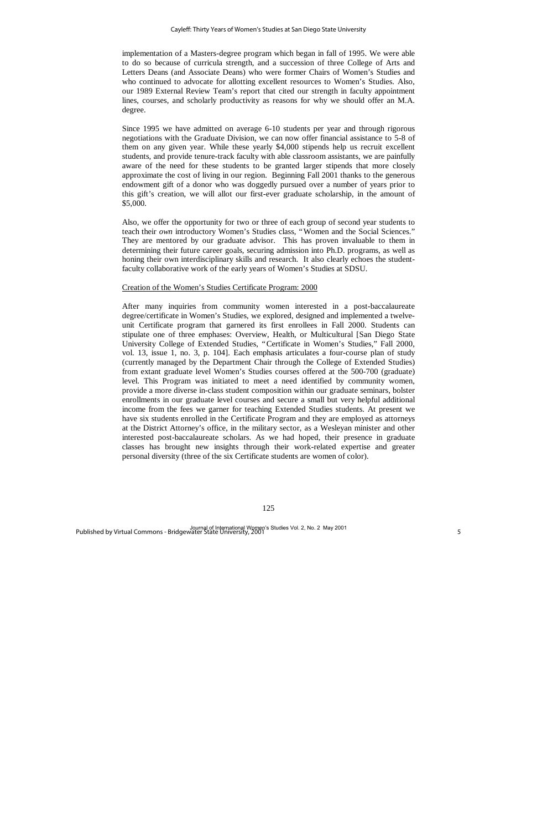implementation of a Masters-degree program which began in fall of 1995. We were able to do so because of curricula strength, and a succession of three College of Arts and Letters Deans (and Associate Deans) who were former Chairs of Women's Studies and who continued to advocate for allotting excellent resources to Women's Studies. Also, our 1989 External Review Team's report that cited our strength in faculty appointment lines, courses, and scholarly productivity as reasons for why we should offer an M.A. degree.

Since 1995 we have admitted on average 6-10 students per year and through rigorous negotiations with the Graduate Division, we can now offer financial assistance to 5-8 of them on any given year. While these yearly \$4,000 stipends help us recruit excellent students, and provide tenure-track faculty with able classroom assistants, we are painfully aware of the need for these students to be granted larger stipends that more closely approximate the cost of living in our region. Beginning Fall 2001 thanks to the generous endowment gift of a donor who was doggedly pursued over a number of years prior to this gift's creation, we will allot our first-ever graduate scholarship, in the amount of \$5,000.

Also, we offer the opportunity for two or three of each group of second year students to teach their *own* introductory Women's Studies class, "Women and the Social Sciences." They are mentored by our graduate advisor. This has proven invaluable to them in determining their future career goals, securing admission into Ph.D. programs, as well as honing their own interdisciplinary skills and research. It also clearly echoes the studentfaculty collaborative work of the early years of Women's Studies at SDSU.

# Creation of the Women's Studies Certificate Program: 2000

After many inquiries from community women interested in a post-baccalaureate degree/certificate in Women's Studies, we explored, designed and implemented a twelveunit Certificate program that garnered its first enrollees in Fall 2000. Students can stipulate one of three emphases: Overview, Health, or Multicultural [San Diego State University College of Extended Studies, "Certificate in Women's Studies," Fall 2000, vol. 13, issue 1, no. 3, p. 104]. Each emphasis articulates a four-course plan of study (currently managed by the Department Chair through the College of Extended Studies) from extant graduate level Women's Studies courses offered at the 500-700 (graduate) level. This Program was initiated to meet a need identified by community women, provide a more diverse in-class student composition within our graduate seminars, bolster enrollments in our graduate level courses and secure a small but very helpful additional income from the fees we garner for teaching Extended Studies students. At present we have six students enrolled in the Certificate Program and they are employed as attorneys at the District Attorney's office, in the military sector, as a Wesleyan minister and other interested post-baccalaureate scholars. As we had hoped, their presence in graduate classes has brought new insights through their work-related expertise and greater personal diversity (three of the six Certificate students are women of color).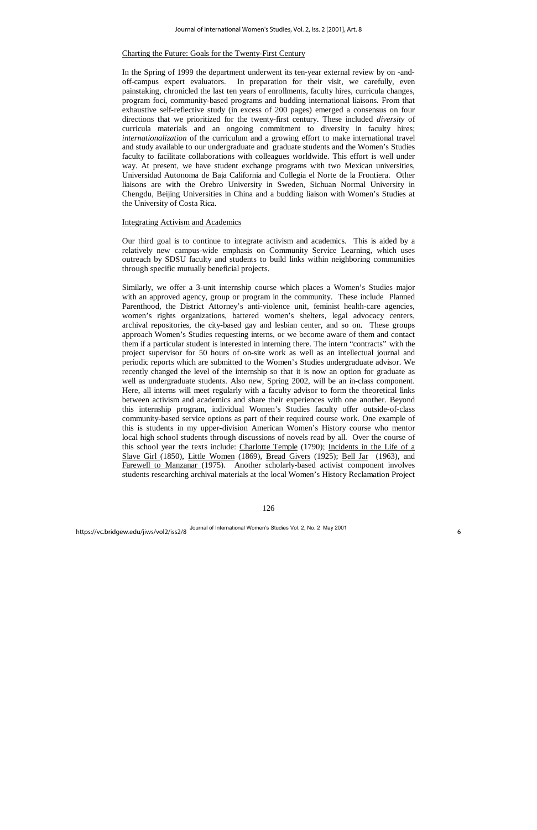# Charting the Future: Goals for the Twenty-First Century

In the Spring of 1999 the department underwent its ten-year external review by on -andoff-campus expert evaluators. In preparation for their visit, we carefully, even painstaking, chronicled the last ten years of enrollments, faculty hires, curricula changes, program foci, community-based programs and budding international liaisons. From that exhaustive self-reflective study (in excess of 200 pages) emerged a consensus on four directions that we prioritized for the twenty-first century. These included *diversity* of curricula materials and an ongoing commitment to diversity in faculty hires; *internationalization* of the curriculum and a growing effort to make international travel and study available to our undergraduate and graduate students and the Women's Studies faculty to facilitate collaborations with colleagues worldwide. This effort is well under way. At present, we have student exchange programs with two Mexican universities, Universidad Autonoma de Baja California and Collegia el Norte de la Frontiera. Other liaisons are with the Orebro University in Sweden, Sichuan Normal University in Chengdu, Beijing Universities in China and a budding liaison with Women's Studies at the University of Costa Rica.

#### Integrating Activism and Academics

Our third goal is to continue to integrate activism and academics. This is aided by a relatively new campus-wide emphasis on Community Service Learning, which uses outreach by SDSU faculty and students to build links within neighboring communities through specific mutually beneficial projects.

Similarly, we offer a 3-unit internship course which places a Women's Studies major with an approved agency, group or program in the community. These include Planned Parenthood, the District Attorney's anti-violence unit, feminist health-care agencies, women's rights organizations, battered women's shelters, legal advocacy centers, archival repositories, the city-based gay and lesbian center, and so on. These groups approach Women's Studies requesting interns, or we become aware of them and contact them if a particular student is interested in interning there. The intern "contracts" with the project supervisor for 50 hours of on-site work as well as an intellectual journal and periodic reports which are submitted to the Women's Studies undergraduate advisor. We recently changed the level of the internship so that it is now an option for graduate as well as undergraduate students. Also new, Spring 2002, will be an in-class component. Here, all interns will meet regularly with a faculty advisor to form the theoretical links between activism and academics and share their experiences with one another. Beyond this internship program, individual Women's Studies faculty offer outside-of-class community-based service options as part of their required course work. One example of this is students in my upper-division American Women's History course who mentor local high school students through discussions of novels read by all. Over the course of this school year the texts include: Charlotte Temple (1790); Incidents in the Life of a Slave Girl (1850), Little Women (1869), Bread Givers (1925); Bell Jar (1963), and Farewell to Manzanar (1975). Another scholarly-based activist component involves students researching archival materials at the local Women's History Reclamation Project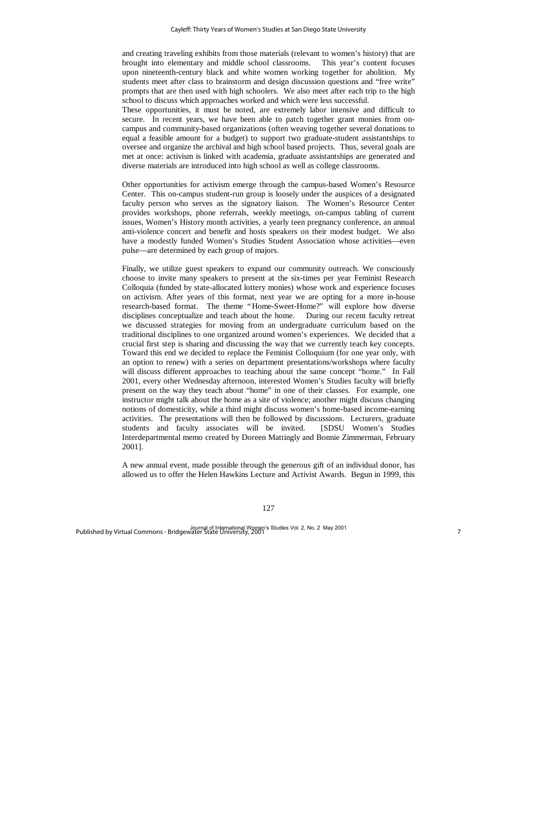and creating traveling exhibits from those materials (relevant to women's history) that are brought into elementary and middle school classrooms. This year's content focuses upon nineteenth-century black and white women working together for abolition. My students meet after class to brainstorm and design discussion questions and "free write" prompts that are then used with high schoolers. We also meet after each trip to the high school to discuss which approaches worked and which were less successful.

These opportunities, it must be noted, are extremely labor intensive and difficult to secure. In recent years, we have been able to patch together grant monies from oncampus and community-based organizations (often weaving together several donations to equal a feasible amount for a budget) to support two graduate-student assistantships to oversee and organize the archival and high school based projects. Thus, several goals are met at once: activism is linked with academia, graduate assistantships are generated and diverse materials are introduced into high school as well as college classrooms.

Other opportunities for activism emerge through the campus-based Women's Resource Center. This on-campus student-run group is loosely under the auspices of a designated faculty person who serves as the signatory liaison. The Women's Resource Center provides workshops, phone referrals, weekly meetings, on-campus tabling of current issues, Women's History month activities, a yearly teen pregnancy conference, an annual anti-violence concert and benefit and hosts speakers on their modest budget. We also have a modestly funded Women's Studies Student Association whose activities—even pulse— are determined by each group of majors.

Finally, we utilize guest speakers to expand our community outreach. We consciously choose to invite many speakers to present at the six-times per year Feminist Research Colloquia (funded by state-allocated lottery monies) whose work and experience focuses on activism. After years of this format, next year we are opting for a more in-house research-based format. The theme "Home-Sweet-Home?" will explore how diverse disciplines conceptualize and teach about the home. During our recent faculty retreat we discussed strategies for moving from an undergraduate curriculum based on the traditional disciplines to one organized around women's experiences. We decided that a crucial first step is sharing and discussing the way that we currently teach key concepts. Toward this end we decided to replace the Feminist Colloquium (for one year only, with an option to renew) with a series on department presentations/workshops where faculty will discuss different approaches to teaching about the same concept "home." In Fall 2001, every other Wednesday afternoon, interested Women's Studies faculty will briefly present on the way they teach about "home" in one of their classes. For example, one instructor might talk about the home as a site of violence; another might discuss changing notions of domesticity, while a third might discuss women's home-based income-earning activities. The presentations will then be followed by discussions. Lecturers, graduate students and faculty associates will be invited. [SDSU Women's Studies Interdepartmental memo created by Doreen Mattingly and Bonnie Zimmerman, February 2001].

A new annual event, made possible through the generous gift of an individual donor, has allowed us to offer the Helen Hawkins Lecture and Activist Awards. Begun in 1999, this